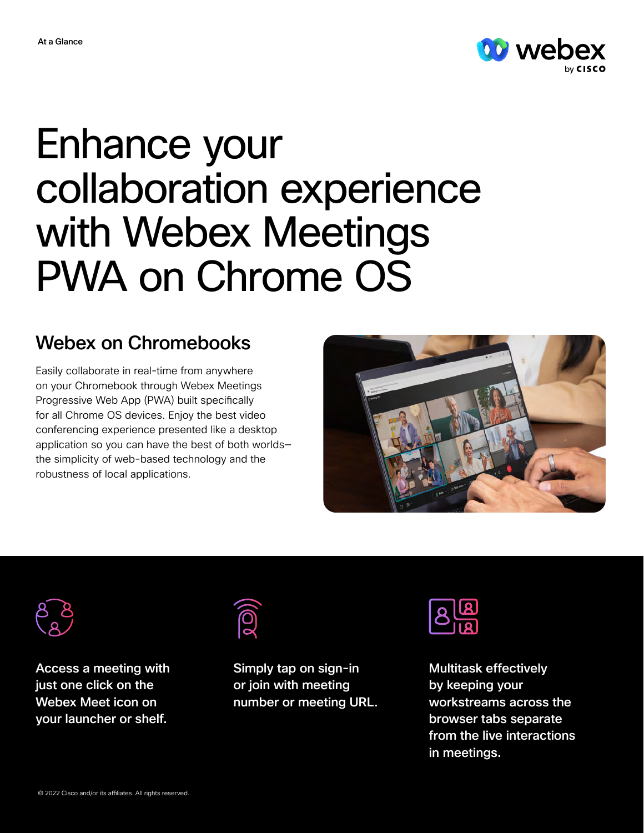

## Enhance your collaboration experience with Webex Meetings PWA on Chrome OS

## Webex on Chromebooks

Easily collaborate in real-time from anywhere on your Chromebook through Webex Meetings Progressive Web App (PWA) built specifically for all Chrome OS devices. Enjoy the best video conferencing experience presented like a desktop application so you can have the best of both worlds the simplicity of web-based technology and the robustness of local applications.





Access a meeting with just one click on the Webex Meet icon on your launcher or shelf.



Simply tap on sign-in or join with meeting number or meeting URL.



Multitask effectively by keeping your workstreams across the browser tabs separate from the live interactions in meetings.